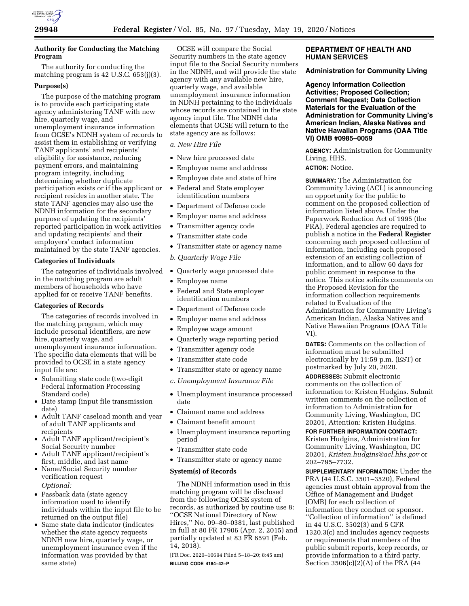

# **Authority for Conducting the Matching Program**

The authority for conducting the matching program is 42 U.S.C. 653(j)(3).

### **Purpose(s)**

The purpose of the matching program is to provide each participating state agency administering TANF with new hire, quarterly wage, and unemployment insurance information from OCSE's NDNH system of records to assist them in establishing or verifying TANF applicants' and recipients' eligibility for assistance, reducing payment errors, and maintaining program integrity, including determining whether duplicate participation exists or if the applicant or recipient resides in another state. The state TANF agencies may also use the NDNH information for the secondary purpose of updating the recipients' reported participation in work activities and updating recipients' and their employers' contact information maintained by the state TANF agencies.

## **Categories of Individuals**

The categories of individuals involved in the matching program are adult members of households who have applied for or receive TANF benefits.

### **Categories of Records**

The categories of records involved in the matching program, which may include personal identifiers, are new hire, quarterly wage, and unemployment insurance information. The specific data elements that will be provided to OCSE in a state agency input file are:

- Submitting state code (two-digit Federal Information Processing Standard code)
- Date stamp (input file transmission date)
- Adult TANF caseload month and year of adult TANF applicants and recipients
- Adult TANF applicant/recipient's Social Security number
- Adult TANF applicant/recipient's first, middle, and last name
- Name/Social Security number verification request *Optional:*
- Passback data (state agency information used to identify individuals within the input file to be returned on the output file)
- Same state data indicator (indicates whether the state agency requests NDNH new hire, quarterly wage, or unemployment insurance even if the information was provided by that same state)

OCSE will compare the Social Security numbers in the state agency input file to the Social Security numbers in the NDNH, and will provide the state agency with any available new hire, quarterly wage, and available unemployment insurance information in NDNH pertaining to the individuals whose records are contained in the state agency input file. The NDNH data elements that OCSE will return to the state agency are as follows:

*a. New Hire File* 

- New hire processed date
- Employee name and address
- Employee date and state of hire
- Federal and State employer identification numbers
- Department of Defense code
- Employer name and address
- Transmitter agency code
- Transmitter state code
- Transmitter state or agency name
- *b. Quarterly Wage File*
- Quarterly wage processed date
- Employee name
- Federal and State employer identification numbers
- Department of Defense code
- Employer name and address
- Employee wage amount
- Quarterly wage reporting period
- Transmitter agency code
- Transmitter state code
- Transmitter state or agency name
- *c. Unemployment Insurance File*
- Unemployment insurance processed date
- Claimant name and address
- Claimant benefit amount
- Unemployment insurance reporting period
- Transmitter state code
- Transmitter state or agency name

## **System(s) of Records**

The NDNH information used in this matching program will be disclosed from the following OCSE system of records, as authorized by routine use 8: ''OCSE National Directory of New Hires,'' No. 09–80–0381, last published in full at 80 FR 17906 (Apr. 2, 2015) and partially updated at 83 FR 6591 (Feb. 14, 2018).

[FR Doc. 2020–10694 Filed 5–18–20; 8:45 am] **BILLING CODE 4184–42–P** 

# **DEPARTMENT OF HEALTH AND HUMAN SERVICES**

## **Administration for Community Living**

**Agency Information Collection Activities; Proposed Collection; Comment Request; Data Collection Materials for the Evaluation of the Administration for Community Living's American Indian, Alaska Natives and Native Hawaiian Programs (OAA Title VI) OMB #0985–0059** 

**AGENCY:** Administration for Community Living, HHS.

**ACTION:** Notice.

**SUMMARY:** The Administration for Community Living (ACL) is announcing an opportunity for the public to comment on the proposed collection of information listed above. Under the Paperwork Reduction Act of 1995 (the PRA), Federal agencies are required to publish a notice in the **Federal Register**  concerning each proposed collection of information, including each proposed extension of an existing collection of information, and to allow 60 days for public comment in response to the notice. This notice solicits comments on the Proposed Revision for the information collection requirements related to Evaluation of the Administration for Community Living's American Indian, Alaska Natives and Native Hawaiian Programs (OAA Title VI).

**DATES:** Comments on the collection of information must be submitted electronically by 11:59 p.m. (EST) or postmarked by July 20, 2020.

**ADDRESSES:** Submit electronic comments on the collection of information to: Kristen Hudgins. Submit written comments on the collection of information to Administration for Community Living, Washington, DC 20201, Attention: Kristen Hudgins.

**FOR FURTHER INFORMATION CONTACT:**  Kristen Hudgins, Administration for Community Living, Washington, DC 20201, *[Kristen.hudgins@acl.hhs.gov](mailto:Kristen.hudgins@acl.hhs.gov)* or 202–795–7732.

**SUPPLEMENTARY INFORMATION:** Under the PRA (44 U.S.C. 3501–3520), Federal agencies must obtain approval from the Office of Management and Budget (OMB) for each collection of information they conduct or sponsor. ''Collection of information'' is defined in 44 U.S.C. 3502(3) and 5 CFR 1320.3(c) and includes agency requests or requirements that members of the public submit reports, keep records, or provide information to a third party. Section 3506(c)(2)(A) of the PRA (44